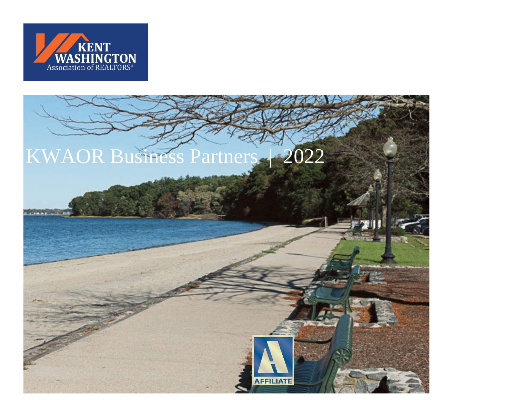

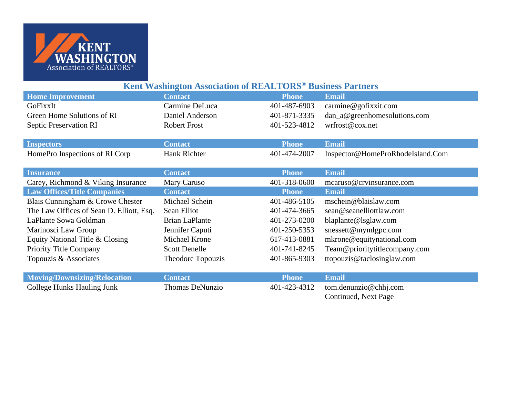

| Kent Washington Association of REALTORS <sup>®</sup> Business Partners |              |                                  |
|------------------------------------------------------------------------|--------------|----------------------------------|
| <b>Contact</b>                                                         | <b>Phone</b> | <b>Email</b>                     |
| Carmine DeLuca                                                         | 401-487-6903 | carmine@gofixxit.com             |
| Daniel Anderson                                                        | 401-871-3335 | dan_a@greenhomesolutions.com     |
| <b>Robert Frost</b>                                                    | 401-523-4812 | wrfrost@cox.net                  |
|                                                                        |              |                                  |
| <b>Contact</b>                                                         | <b>Phone</b> | <b>Email</b>                     |
| Hank Richter                                                           | 401-474-2007 | Inspector@HomeProRhodeIsland.Com |
|                                                                        |              |                                  |
| <b>Contact</b>                                                         | <b>Phone</b> | <b>Email</b>                     |
| Mary Caruso                                                            | 401-318-0600 | mcaruso@crvinsurance.com         |
| <b>Contact</b>                                                         | <b>Phone</b> | <b>Email</b>                     |
| Michael Schein                                                         | 401-486-5105 | mschein@blaislaw.com             |
| Sean Elliot                                                            | 401-474-3665 | sean@seanelliottlaw.com          |
| <b>Brian LaPlante</b>                                                  | 401-273-0200 | blaplante@lsglaw.com             |
| Jennifer Caputi                                                        | 401-250-5353 | snessett@mymlgpc.com             |
| Michael Krone                                                          | 617-413-0881 | mkrone@equitynational.com        |
| <b>Scott Denelle</b>                                                   | 401-741-8245 | Team@prioritytitlecompany.com    |
| Theodore Topouzis                                                      | 401-865-9303 | ttopouzis@taclosinglaw.com       |
|                                                                        |              |                                  |
| <b>Contact</b>                                                         | <b>Phone</b> | <b>Email</b>                     |
| <b>Thomas DeNunzio</b>                                                 | 401-423-4312 | tom.denunzio@chhj.com            |
|                                                                        |              |                                  |

Continued, Next Page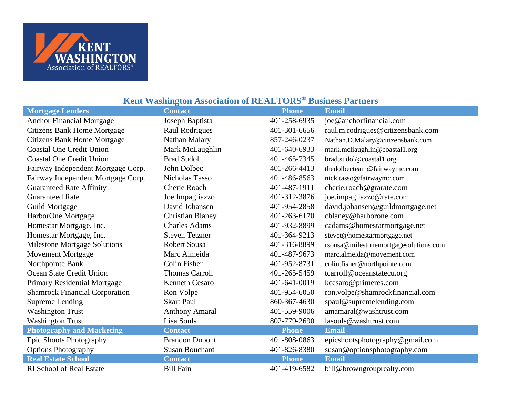

## **Mortgage Lenders Contact Phone Email** Anchor Financial Mortgage Joseph Baptista 401-258-6935 [joe@anchorfinancial.com](mailto:joe@anchorfinancial.com) Citizens Bank Home Mortgage Raul Rodrigues 401-301-6656 [raul.m.rodrigues@citizensbank.com](mailto:joe@anchorfinancial.com) Citizens Bank Home Mortgage Nathan Malary 857-246-0237 [Nathan.D.Malary@citizensbank.com](mailto:Nathan.D.Malary@citizensbank.com) Coastal One Credit Union Mark McLaughlin 401-640-6933 mark.mcliaughlin@coastal1.org Coastal One Credit Union Brad Sudol 401-465-7345 brad.sudol@coastal1.org Fairway Independent Mortgage Corp. John Dolbec 401-266-4413 thedolbecteam@fairwaymc.com Fairway Independent Mortgage Corp. Nicholas Tasso 401-486-8563 nick.tasso@fairwaymc.com Guaranteed Rate Affinity Cherie Roach 401-487-1911 [cherie.roach@grarate.com](mailto:cherie.roach@grarate.com) Guaranteed Rate Joe Impagliazzo Joe Impagliazzo 401-312-3876 joe.impagliazzo@rate.com Guild Mortgage David Johansen 201-954-2858 david.johansen @guildmortgage.net HarborOne Mortgage Christian Blaney 401-263-6170 cblaney@harborone.com Homestar Mortgage, Inc. Charles Adams 401-932-8899 cadams@homestarmortgage.net Homestar Mortgage, Inc. Steven Tetzner 401-364-9213 [stevet@homestarmortgage.net](mailto:stevet@homestarmortgage.net) Milestone Mortgage Solutions Robert Sousa 401-316-8899 rsousa@milestonemortgagesolutions.com Movement Mortgage Marc Almeida 401-487-9673 marc.almeida@movement.com Northpointe Bank Colin Fisher 401-952-8731 colin.fisher@northpointe.com Ocean State Credit Union Thomas Carroll 401-265-5459 tcarroll@oceanstatecu.org Primary Residential Mortgage Kenneth Cesaro 401-641-0019 kcesaro@primeres.com Shamrock Financial Corporation Ron Volpe 401-954-6050 ron.volpe@shamrockfinancial.com Supreme Lending Skart Paul Skart Paul 860-367-4630 spaul@supremelending.com Washington Trust **Anthony Amaral** 401-559-9006 amamaral@washtrust.com Washington Trust Lisa Souls Lisa Souls 802-779-2690 lasouls@washtrust.com **Photography and Marketing Contact Contact Phone Email** Epic Shoots Photography Brandon Dupont 401-808-0863 epicshootsphotography@gmail.com Options Photography Susan Bouchard 401-826-8380 susan@optionsphotography.com **Real Estate School <b>Contact Contact Phone Phone Email** RI School of Real Estate Bill Fain 401-419-6582 bill@browngrouprealty.com

## **Kent Washington Association of REALTORS® Business Partners**